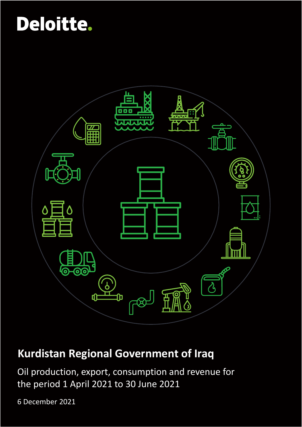

## **Kurdistan Regional Government of Iraq**

Oil production, export, consumption and revenue for the period 1 April 2021 to 30 June 2021

6 December 2021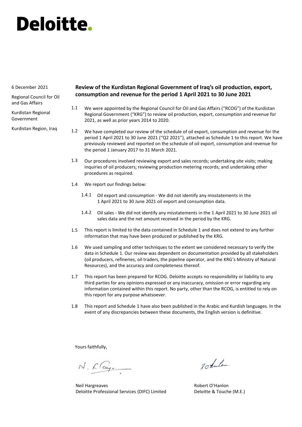#### 6 December 2021

Regional Council for Oil and Gas Affairs

Kurdistan Regional Government

Kurdistan Region, Iraq

### **Review of the Kurdistan Regional Government of Iraq's oil production, export, consumption and revenue for the period 1 April 2021 to 30 June 2021**

- We were appointed by the Regional Council for Oil and Gas Affairs ("RCOG") of the Kurdistan Regional Government ("KRG") to review oil production, export, consumption and revenue for 2021, as well as prior years 2014 to 2020. 1.1
- We have completed our review of the schedule of oil export, consumption and revenue for the period 1 April 2021 to 30 June 2021 ("Q2 2021"), attached as Schedule 1 to this report. We have previously reviewed and reported on the schedule of oil export, consumption and revenue for the period 1 January 2017 to 31 March 2021. 1.2
- Our procedures involved reviewing export and sales records; undertaking site visits; making inquiries of oil producers; reviewing production metering records; and undertaking other procedures as required. 1.3
- We report our findings below: 1.4
	- Oil export and consumption We did not identify any misstatements in the 1 April 2021 to 30 June 2021 oil export and consumption data. 1.4.1
	- Oil sales We did not identify any misstatements in the 1 April 2021 to 30 June 2021 oil 1.4.2 sales data and the net amount received in the period by the KRG.
- This report is limited to the data contained in Schedule 1 and does not extend to any further information that may have been produced or published by the KRG. 1.5
- We used sampling and other techniques to the extent we considered necessary to verify the data in Schedule 1. Our review was dependent on documentation provided by all stakeholders (oil producers, refineries, oil traders, the pipeline operator, and the KRG's Ministry of Natural Resources), and the accuracy and completeness thereof. 1.6
- This report has been prepared for RCOG. Deloitte accepts no responsibility or liability to any third parties for any opinions expressed or any inaccuracy, omission or error regarding any information contained within this report. No party, other than the RCOG, is entitled to rely on this report for any purpose whatsoever. 1.7
- This report and Schedule 1 have also been published in the Arabic and Kurdish languages. In the event of any discrepancies between these documents, the English version is definitive. 1.8

Yours faithfully,

N. Clay.

Neil Hargreaves Deloitte Professional Services (DIFC) Limited

20 tanlos.

Robert O'Hanlon Deloitte & Touche (M.E.)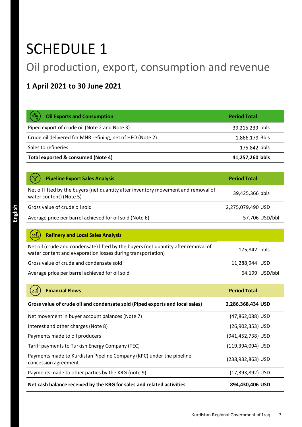## SCHEDULE 1

## Oil production, export, consumption and revenue

### **1 April 2021 to 30 June 2021**

| (-స్తా<br><b>Oil Exports and Consumption</b>              | <b>Period Total</b> |
|-----------------------------------------------------------|---------------------|
| Piped export of crude oil (Note 2 and Note 3)             | 39,215,239 bbls     |
| Crude oil delivered for MNR refining, net of HFO (Note 2) | 1,866,179 Bbls      |
| Sales to refineries                                       | 175,842 bbls        |
| Total exported & consumed (Note 4)                        | 41,257,260 bbls     |

| <b>Pipeline Export Sales Analysis</b>                                                                         | <b>Period Total</b> |
|---------------------------------------------------------------------------------------------------------------|---------------------|
| Net oil lifted by the buyers (net quantity after inventory movement and removal of<br>water content) (Note 5) | 39,425,366 bbls     |
| Gross value of crude oil sold                                                                                 | 2,275,079,490 USD   |
| Average price per barrel achieved for oil sold (Note 6)                                                       | 57.706 USD/bbl      |

| Net oil (crude and condensate) lifted by the buyers (net quantity after removal of<br>water content and evaporation losses during transportation) | 175,842 bbls   |
|---------------------------------------------------------------------------------------------------------------------------------------------------|----------------|
| Gross value of crude and condensate sold                                                                                                          | 11.288.944 USD |
| Average price per barrel achieved for oil sold                                                                                                    | 64.199 USD/bbl |

| <b>Financial Flows</b><br>5000                                                               | <b>Period Total</b>   |
|----------------------------------------------------------------------------------------------|-----------------------|
| Gross value of crude oil and condensate sold (Piped exports and local sales)                 | 2,286,368,434 USD     |
| Net movement in buyer account balances (Note 7)                                              | (47,862,088) USD      |
| Interest and other charges (Note 8)                                                          | (26,902,353) USD      |
| Payments made to oil producers                                                               | (941,452,738) USD     |
| Tariff payments to Turkish Energy Company (TEC)                                              | (119,394,094) USD     |
| Payments made to Kurdistan Pipeline Company (KPC) under the pipeline<br>concession agreement | $(238, 932, 863)$ USD |
| Payments made to other parties by the KRG (note 9)                                           | (17,393,892) USD      |
| Net cash balance received by the KRG for sales and related activities                        | 894,430,406 USD       |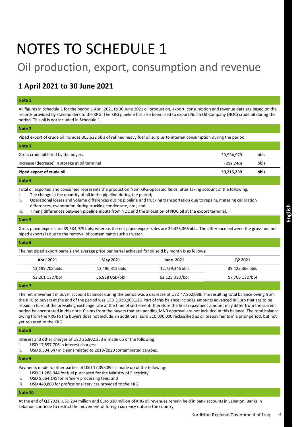## NOTES TO SCHEDULE 1

### Oil production, export, consumption and revenue

### **1 April 2021 to 30 June 2021**

#### **Note 1**

All figures in Schedule 1 for the period 1 April 2021 to 30 June 2021 oil production, export, consumption and revenue data are based on the records provided by stakeholders to the KRG. The KRG pipeline has also been used to export North Oil Company (NOC) crude oil during the period. This oil is not included in Schedule 1.

#### **Note 2**

Piped export of crude oil includes 305,632 bbls of refined heavy fuel oil surplus to internal consumption during the period.

| Note 3                                         |            |             |  |
|------------------------------------------------|------------|-------------|--|
| Gross crude oil lifted by the buyers           | 39,534,979 | bbls        |  |
| Increase (decrease) in storage at oil terminal | (319,740)  | bbls        |  |
| Piped export of crude oil                      | 39,215,239 | <b>bbls</b> |  |
| Note 4                                         |            |             |  |

#### Total oil exported and consumed represents the production from KRG-operated fields, after taking account of the following:

- i. The change in the quantity of oil in the pipeline during the period;
- ii. Operational losses and volume differences during pipeline and trucking transportation due to repairs, metering calibration differences, evaporation during trucking condensate, etc.; and
- iii. Timing differences between pipeline inputs from NOC and the allocation of NOC oil at the export terminal.

#### **Note 5**

Gross piped exports are 39,534,979 bbls, whereas the net piped export sales are 39,425,366 bbls. The difference between the gross and net piped exports is due to the removal of contaminants such as water.

#### **Note 6**

The net piped export barrels and average price per barrel achieved for oil sold by month is as follows:

| <b>April 2021</b> | May 2021        | <b>June 2021</b> | Q2 2021         |
|-------------------|-----------------|------------------|-----------------|
| 13,199,708 bbls   | 13,486,312 bbls | 12,739,346 bbls  | 39,425,366 bbls |
| 53.261 USD/bbl    | 56.938 USD/bbl  | 63.125 USD/bbl   | 57.706 USD/bbl  |
|                   |                 |                  |                 |

#### **Note 7**

The net movement in buyer account balances during the period was a decrease of USD 47,862,088. The resulting total balance owing from the KRG to buyers at the end of the period was USD 3,930,908,128. Part of this balance includes amounts advanced in Euro that are to be repaid in Euro at the prevailing exchange rate at the time of settlement, therefore the final repayment amount may differ from the current period balance stated in this note. Claims from the buyers that are pending MNR approval are not included in this balance. The total balance owing from the KRG to the buyers does not include an additional Euro 310,000,000 reclassified as oil prepayments in a prior period, but not yet released to the KRG.

#### **Note 8**

Interest and other charges of USD 26,902,353 is made up of the following:

- i. USD 17,597,706 in interest charges;
- ii. USD 9,304,647 in claims related to 2019/2020 contaminated cargoes.

#### **Note 9**

Payments made to other parties of USD 17,393,892 is made up of the following:

- i. USD 11,288,944 for fuel purchased for the Ministry of Electricity;
- ii. USD 5,664,145 for refinery processing fees; and
- iii. USD 440,803 for professional services provided to the KRG.

#### **Note 10**

At the end of Q2 2021, USD 294 million and Euro 310 million of KRG oil revenues remain held in bank accounts in Lebanon. Banks in Lebanon continue to restrict the movement of foreign currency outside the country.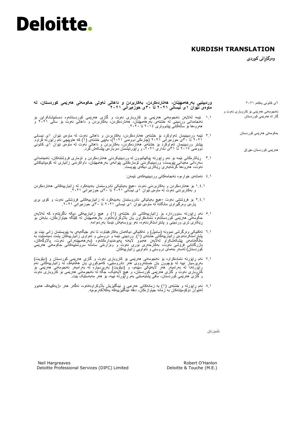### **KURDISH TRANSLATION**

**وەرگێڕانى كوردی** 

٦ی کانونی یەکەم ۲۰۲۱ ئەنجومەنی هەرێمی بۆ کاروباری نەوت و گاز لە هەرێمی کوردستان **وردبینیی بەرهەمهێنان، هەناردەکردن، بەکاربردن و داهاتی نەوتی حکومەتی هەرێمی کوردستان، لە ماوەی نێوان 1ى نیسانی ٢٠٢1 تا 3٠ى حوزەیرانی ٢٠٢1** ۱.۱ ئێمە لەالیەن ئەنجومەنی هەرێمی بۆ كاروبارى نەوت و گازی هەرێمی کوردستانەوە دەستنیشانکراین بۆ ئەنجامدانی وردبینی لە خشتەی بەرهەمهێنان، هەناردەکردن، بەکاربردن و داهاتی نەوت بۆ ساڵی ۲۰۲۱ و

حکومەتی هەرێمی کوردستان

هەرێمی کوردستان-عێراق

- هەروەها بۆ ساڵەكانی پێشووتری ۲۰۱4 تا .۲۰۲۰
- ۲.۱ ئێمە وردبینیمان تەواوكرد بۆ خشتەی هەناردەکردن، بەکاربردن و داهاتی نەوت لە ماوەی نێوان ۱ى نیسانی ۲۰۲۱ تا 3۰ى حوزەیرانی ۲۰۲۱ )چارەكی دووەمی ۲۰۲۱(، بەپێى خشتەی )۱( كە هاوپێچی ئەم راپۆرتە کراوە. پێشتر وردبینیمان تەواوكرد بۆ خشتەی هەناردەكردن، بەكاربردن و داهاتی نەوت لە ماوەی نێوان ۱ى کانونی دووەمی ۲۰۱7 تا 3۱ى ئاداری ،۲۰۲۱ و ڕاپۆرتیشمان دەربارەی پێشکەش کرد.
- 3.۱ ڕێکارەکانی ئێمە بۆ ئەم ڕاپۆرتە پێکهاتبوون لە وردبینیکردنی هەناردەکردن و تۆماری فرۆشتنەکان، ئەنجامدانی سەردانی مەیدانی پێویست، وردبینیکردنی تۆمارەکانی پێوانەی بەرهەمهێنان، داواكردنى زانیارى لە کۆمپانیاکانی نەوت، هەروەها گرتنەبەری ڕێکاری دیكەى پێویست.
	- 4.۱ ئەمانەی خوارەوە ئەنجامەکانی وردبینییەکەی ئێمەن:
- ۱.4.۱ بۆ هەناردەکردن و بەکاربردنی نەوت -هیچ بەیانێکی نادروستمان بەدینەکرد لە زانیارییەکانی هەناردەکردن و بەکاربردنی نەوت لە ماوەی نێوان ۱ى نیسانی ۲۰۲۱ تا 3۰ى حوزەیرانی .۲۰۲۱
- ۲.4.۱ بۆ فرۆشتنی نەوت -هیچ بەیانێکی نادروستمان بەدینەکرد لە زانیارییەکانی فرۆشتنی نەوت و کۆی بڕی پارەی وەرگیراوی مانگانە لە ماوەی نێوان ۱ى نیسانی ۲۰۲۱ تا 3۰ى حوزەیرانی .۲۰۲۱
- 5.۱ ئەم ڕاپۆرتە سنووردارە بۆ زانیارییەکانی ناو خشتەی )۱( و هیچ زانیارییەکی دیکە ناگرێتەوە کە لەالیەن حکومەتی ھەرێمی کوردستانـەوە ئامادەکراون یان بلاوکراونـەتـەوە. بـەرھەممهێنان لـه کێلگە جیاوازەکان، بـابـەتن بۆ ڕێکاری تری وردبینی و پشتڕاستکردنەوە، ئەو پرۆسەیەش ئێستا بەردەوامە.
- ٦.۱ تەکنیکی وەرگرتنی نموونە )سامپڵ( و تەکنیکی دیکەمان بەکارهێناوە، تا ئەو جێگەیەی بە پێویستمان زانی بێت بۆ پشتر استکردنـموءی زانـیارییـهکانـی خشتهءی (۱)<sub>.</sub> وردبینـی ئێمه و دروستـی و تـمواوی زاننیارییبهکان پشت دەپـمستێت به بەڵگەنامەی پێشکەشکراو لەالیەن هەموو الیەنە پەیوەندیدارەکانەوە )بەرهەمهێنەرانی نەوت، پااڵوگەکان، بازرگانانی فرۆشى نەوت، بەکارخەری بۆری نەوت و وەزارەتی سامانە سروشتییەکانی حکومەتی هەرێمی کوردستان) لەسەر بنەمای دروستى و تەواويى زانيارييەكان.
- 7.۱ ئەم ڕاپۆرتە ئامادەکراوە بۆ ئەنجومەنی هەرێمی بۆ كاروبارى نەوت و گازی هەرێمی کوردستان و )دیلۆیت( بەرپرسیار نییه له بۆچوون یان خستنەرووی هەر نادروستیی، کەموکوری یان هالمەیک له زانیارییەکانی ئەم<br>راپزرتەدا له بەرامبەر هەر لایەننکی سنیەم، و (دیلزیت) بەرپرسیاره له بەرامبەر ئەنجومەنی هەربمی بۆ كاروبارى نەوت و گازی هەرێمی کوردستان، و هیچ الیەنێک، جگە لە ئەنجومەنی هەرێمی بۆ كاروبارى نەوت و گازی هەرێمی کوردستان، مافی پشتبەستنی بەم ڕاپۆرتە نییە، بۆ هەر مەبەستێک بێت.
- 8.۱ ئەم ڕاپۆرتە و خشتەی )۱( بە زمانەکانی عەرەبی و ئینگلیزیش باڵوکراونەتەوە، ئەگەر هەر دژیەکییەک هەبوو لەنێوان دۆکۆمێنتەکان بە زمانە جیاوازەکان، دەقە ئینگلیزییەکە یەکالکەرەوەیە.

دڵسۆزتان

Robert O'Hanlon Deloitte & Touche (M.E.)

Neil Hargreaves Deloitte Professional Services (DIFC) Limited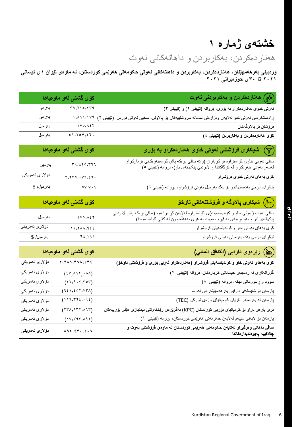## **خشتەی ژمارە 1**

هەناردەکردن، بەکاربردن و داهاتەكانى نەوت

**وردبینی بەرهەمهێنان، هەناردەکردن، بەکاربردن و داهاتەكانی نەوتی حکومەتی هەرێمی کوردستان، لە ماوەی نێوان 1ى نیسانی ٢٠٢1 تا 3٠ى حوزەیرانی ٢٠٢1**

|                         | كۆى گشتى لەو ماوەيەدا                                                        | (شج ) هەناردەكردن و بەكارېردنى نەوت                                                                                                                                        |
|-------------------------|------------------------------------------------------------------------------|----------------------------------------------------------------------------------------------------------------------------------------------------------------------------|
| بەرمىل                  | 59,510,559                                                                   | نموتی خاوی ههناردهکراو به بۆری، بړوانه (تێبینی ۲) و (تێبینی ۳)                                                                                                             |
| بەرمىل                  | $\langle \rangle, \lambda \mathbf{1} \mathbf{1}, \mathbf{1} \vee \mathbf{1}$ | ړادهستکردنی نەوتی خاو لەلايەن وەزارىتى سامانە سروشتىيەكان بۆ پالاوتن، سافيى نەوتى قورس (تێبينى ٢)                                                                          |
| بەرمىل                  | $1Y0, \lambda 5Y$                                                            | فرۆشتن بۆ پاڵاوگەكان                                                                                                                                                       |
| بەرمىل                  | 51,701,77.                                                                   | كۆى ھەناردەكردن و بەكاربردن (تێبينى ٤)                                                                                                                                     |
|                         | کۆی گشتی لەو ماوەي <mark>ەد</mark> ا                                         | شیکاری فرۆشتنی نەوتی خاوی هەناردەكراو بە بۆرى $(\mathcal{T})$                                                                                                              |
| بەرمىل                  | 59,570,517                                                                   | سافی نەوتی خاوی گواستراوه بۆ كړياران (واته سافی بړهكه پاش گواستنەومكانی تۆماركراو<br>لەسەر نەوتی خەزنكراو لە كۆگاكاندا و لابردنی پێكهاتەی ئاو)، بړوانه (تێبينی °)          |
| دۆلارى ئەمرىكى          | $x, x, y, \ldots, x, y, z$                                                   | كۆي بەھاي نەوتى خاوي فرۆشراو                                                                                                                                               |
| بەرمىل/ \$              | $o_{V,V}$                                                                    | تَيْكِرِاي نرخي بەدەستھاتوو بۆ يەك بەرمىل نەوتىي فرۆشراو، بړوانە (تێبيني ٦)                                                                                                |
|                         | كۆى گشتى لە <mark>ۋ ماۋەيەدا</mark>                                          | ( <u>Hr)</u> شیکاری پالاوگه و فروشتنهکانی ناوخو                                                                                                                            |
| بەرمىل                  | $\gamma \vee \circ \phi, \wedge \psi \vee$                                   | سافی نەوت (نەوتى خاو و كۆندێنسەيت)ى گواستراوە لەلايەن كړيارانەوە (سافى بړەكە پاش لابردنى<br>پێکھاتەى ئاو و ئەو بړەيەى بە فيړۆ دەچێت بە ھۆى بەھەلمىبوون لەكاتى گواستنەوەدا) |
| دۆلارى ئە <i>مر</i> ىكى | 11,7AA,966                                                                   | کۆي بەھاي نەوتى خاو و كۆندێنسەيتى فرۆشراو                                                                                                                                  |
| بەرمىل/ \$              | $72.199$                                                                     | تیکرای نرخی یاك بەرمیلی نەوتى فرۆشراو                                                                                                                                      |
|                         | كۆى گشتى لەو ماوەيەدا                                                        | (أأأأ) رِيْرِ موى دارايي (التدفق المالي)                                                                                                                                   |
| دۆلار ئ ئەمريكى         | $\mathbf{y}, \mathbf{y}$                                                     | كۆى بەھاى نەوتى خاو و كۆندېنسەيتى فرۆشراو (ھەناردەكراو لەريى بۆرى و فرۆشتنى ناوخۆ)                                                                                         |
| دۆلارى ئەمرىكى          | $(*v, \lambda 1Y, \lambda A)$                                                | گۆړانكارى له ړهسيدى حيساباتى كړيارمكان، بړوانه (تێيينى ٧)                                                                                                                  |
| دۆلارى ئەمريكى          | (17, 9.7, 7.07)                                                              | سوود و ړسووماتی دیکه، بړوانه (تێبینی ۸)                                                                                                                                    |
| دۆلارى ئەمرىكى          | (951, 501, 507, 504)                                                         | پاردان بو شایستهی دارایی بهرههمهیندرانی نهوت                                                                                                                               |
| دۆلارى ئەمرىكى          | (119, 792, 92)                                                               | پارددان له بهرامبهر تاریفی کومپانیای وزمی تورکی (TEC)                                                                                                                      |
| دۆلارى ئەمرىكى          | (55, 955, 055)                                                               | بړی پارەی دراو بۆ كۆمپانيای بۆريى كوردستان (KPC) بەگوێرەی ړێككەوتنى ئيمتيازى هێڵى بۆربيەكان                                                                                |
| دۆلارى ئەمرېكى          | (11, 11, 11)                                                                 | پارہدان بۆ لايەنى سێيەم لەلايەن حكومەتى ھەرێمى كوردستان، بړوانە (تێبينى ٩)                                                                                                 |
| دۆلار ئ ئەمرىكى         | $\lambda$ ٩٤,٤٣٠,٤٠٦                                                         | سافی داهاتی و درگیراو لهلایهن حکومهتی ههریمی کوردستان له ماوهی فروشتنی نهوت و<br>چالاكييه پەيو ەنديدار ەكاندا                                                              |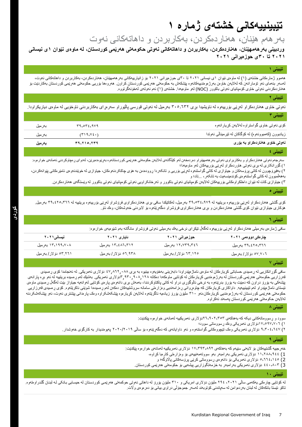## **تێبینییەكانی خشتەی ژمارە 1**

### بەرهەم هێنان، هەناردەکردن، بەکاربردن و داهاتەكانى نەوت

**وردبینی بەرهەمهێنان، هەناردەکردن، بەکاربردن و داهاتەكانی نەوتی حکومەتی هەرێمی کوردستان، لە ماوەی نێوان 1ى نیسانی ٢٠٢1 تا 3٠ى حوزەیرانی ٢٠٢1**

#### **تێبینی 1**

ههموو ژمارمکانی خشتهی (۱) له ماوەی نێوان ۱ی نیسانی ۲۰۲۱ تا ۳۰ی حوزمیرانی ۲۰۲۱ بۆ زانیارییهکانی بهرههمهێنان، ههناردمکردن، بهکاربردن و داهاتهکانی نەوت، لەسەر بنەمای ئەو تۆمارانەن كە لەلايەن خاوەن بەرژەومندىيەكانەوە پێشكەش مەرقىي كوردستان كراون. ھەروەھا بۆرپی حكومەتی ھەرپمی كوردستان بەكاردێت بۆ هەناردەكردنی نەوتی خاوی كۆمپانیای نەوتی باكوور )NOC )لەو ماوەیەدا. خشتەی )۱( ئەم نەوتەی لەخۆنەگرتووە.

#### **تێبینی ٢**

نەوتی خاوی هەناردەكراو لەڕێی بۆرییەوە لە ناویشیدا بڕی 3۰5.٦3۲ بەرمیل لە نەوتی قورسی پاڵێوراو سەرەڕای بەكاربردنی ناوخۆیی لە ماوەی دیاریكراودا.

| تيبينى                                                 |            |         |
|--------------------------------------------------------|------------|---------|
| كۆي نەوتى خاوى گواستراوه لەلايەن كړيارانەوه            | 59.072.919 | بەر مېل |
| زيادبوون (كەمبوونەوە) لە كۆگاكان لە تټرمينالْمى نەوتدا | (T19, V2)  | بەر مېل |
| نەوتى خاوى ھەناردەكراو بە بۆرى                         | ۳۹,۲۱۰,۲۳۹ | بەرمىل  |

#### **تێبینی 4**

سەرجەم نەوتی هەناردەكراو و بەكاربراوی نەوتی بەر ھەمهێنراو دەردەخەن لەكرىك كېرىستانەو بەپرنومىترىن، لەندوای رەچلوكردنی ئەمانەی خوارەوە: ١( گۆڕانکاری لە بڕی نەوتی هاوردەکراو لەڕێی بۆرییەکان لەو ماوەیەدا؛

٢) بەفیرۆچوون لە کاتی پرۆسەکان و جیاوازی لە کاتی گواستنەوە لەرێی بۆتانکوردا پوشاكل دنى بولغان، جیاوازی لە خوێندنەوەی ئامێرەکانی پێوانەکردن، بەهەڵمبوون لە کاتی گواستنەوەی کۆندەینسەیت بە تانکەر، ...تاد؛ و

٢) جیاوازی كات له نێوان داخلكراومكانی بۆربیەكان لەلايەن كۆمپانیای نەوتی و كېمپانیای كېمپانیای نەوتی باكوور لە وێستگەی هەناردەكردن.

#### **تێبینی ٥**

کۆی گشتی هەناردەكراو لەڕێی بۆرییەوە بریتییە لە 39,534,979 بەرمیل، لەكاتێكدا سافی بڕی هەناردەکراوی فرۆشراو لەڕێی بۆرییەوە بریتییە لە 39,4۲5,3٦٦ بەرمیل. هۆکاری جیاوازی نێوان كۆی گشتی هەناردەكردن و بڕی هەناردەکراوی فرۆشراو دەگەڕێتەوە بۆ البردنی خەوشەكان، وەك ئاو.

#### **تێبینی ٦**

سافی ژمارەی بەرمیلى هەناردەکراو لەڕێی بۆرییەوە لەگەڵ تێكڕای نرخى یەك بەرمیلی نەوتی فرۆشراو مانگانە بەم شێوەیەی خوارەوە:

| نیسانی ۲۰۲۱             | ناباری ۲۰۲۱              | حوز میرانی ۲۰۲۱         | چار ہکی دو و ممی ۲۰۲۱ |
|-------------------------|--------------------------|-------------------------|-----------------------|
| ۱۳٫۱۹۹٫۷۰۸ بەر مېل      | ۱۳٫٤۸٦,۳۱۲ بەر مېل       | ۱۲٬۷۳۹٬۳٤٦ بەر مېل      | ۳۹٫٤۲٥٫۳٦٦ بەر مېل    |
| ۶۳٬۲٦۱ دؤ لار / بهر میل | ۹۳۸ ۹۳۸ دؤ لار / بهر میل | ۱۲۵ ۱۲ دؤ لار / بهر میل | ۷.۷۰٦ دۆلار / بەر مېل |

#### **تێبینی ٧**

سافی گزرِ انکاریی له رِمسیدی حساباتی كړیار مکان له ماوەی ئاماژ بینی او باری نوپوس به بری ۸۲۰٫۸۲۲ دۆلاری ئەمریکی. له ئەنجامدا كۆی رِمسیدی قەرزاریی حكومەتی هەریمی كوردستان لە بەرژەومندیی كریارمكان لە كۆتاپی ماومكەدا دەكاتە 3,91،1۲۸دۆلاری ئەمریكی. بەشنِك لەم رەسیدە بریتییە لە ئەو برە پارانەی پێشەكی به یۆرۆ دراون كه دەبێت به یۆرۆ بدرێنەو به نرخی ئالوگۆردن باکتاوكردندا، بەمەش بړی دانەوەی پارەی كۆتایی لەوانەیە جیاواز بێت لەگەڵ رٍدسیدی ماوەی ئیستای ئاماژمپێدراو لەم تێبینییەید. داواكاری كړیارمكان كه چاوەړوانی روزاروتی سامانه سروشتییەكان دەكەن لەم رەسیدەدا شوێنی ناكرێتەوە. كۆی ړەسیدی قەرزاریی حکومەتی هەرێمی کوردستان لە بەرژەومندیی کړیارمکان،ئەو ٦٠٠ ملیزن توپان، کړیاروو پیشکاشکراوه ومک پارمدانی پێشتری نەوت، ئەو پێشکەشکردنه لەالیەن حکومەتی هەرێمی کوردستان پەسەند نەکراوە.

#### **تێبینی ٨**

سوود و ڕسووماتەكانی دیکە كە بەهاكەی ۲٦,9۰۲,353دۆالری ئەمریكییە لەمانەی خوارەوە پێكدێت: ۱( ۱7,597,7۰٦دۆالری ئەمریکی وەك ڕسووماتى سوود؛

۲( 9,3۰4,٦47 دۆالری ئەمریکی وەک تێچووەکانی گواستنەوە و ئەو داوایانەی کە دەگەڕێنەوە بۆ ساڵی ۲۰۲۰/۲۰۱9 پەیوەندیدار بە کارگۆی خەوشدار.

#### **تێبینی 9**

خەرجییە گشتییەکان بۆ لایەنی سێیەم کە بەھاکەی ۱۷٫۳۹۳٫۸۹۲ دۆلاری ئەمریکییە لەمانەی خوار مو بێکدێت:

- 1) ۱۱,۲88,944 دۆالری ئەمریكی بەرامبەر بەو سووتەمەنییەی بۆ وەزارەتی كارەبا كڕاوە،
	- 2) 5,٦٦4,۱45 دۆالری ئەمریکی بۆ دانەوەی ڕسووماتی كرێی پرۆسەكانی پااڵوگە؛ و
- 3) 44۰,8۰3 دۆالری ئەمریكی بەرامبەر بە خزمەتگوزاریی پیشەیی بۆ حكومەتی هەرێمی كوردستان.

#### **تێبینی 1٠**

له کۆتاپی چارەکی یەکەمی ساڵی ۲۰۲۱، ۱۹۶ ملیۆن دۆلاری امریکی و ۳۱۰ ملیون پارتی کوکمه تی هەریمی کوردستان له حیسابی بانکی له لبنان گلدر اومتەوه. تاکو ئێستا بانكەكان لە لبنان بەردەوامن لە سەپاندنی كۆتوبەند لەسەر جموجۆڵی دراوی بیانی بۆ دەرەوەی واڵت.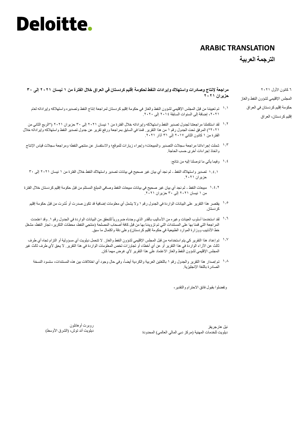### **ARABIC TRANSLATION**

### **الترجمة العربية**

**مراجعة إلنتاج وصادرات واستهالك وإيرادات النفط لحكومة إقليم كردستان في العراق خالل الفترة من ١ نيسان ٢0٢١ إلى ٣0 حزيران ٢0٢١**

- تم تعییننا من قبل المجلس اإلقلیمي لشؤون النفط والغاز في حكومة إقلیم كردستان لمراجعة إنتاج النفط وتصدیره واستهالكە وإیراداتە لعام ۱.۱ ،٢٠٢١ إضافة إلى السنوات السابقة ٢٠١٤ إلى .٢٠٢٠
- لقد استكملنا مراجعتنا لجدول تصدیر النفط واستهالكە وإیراداتە خالل الفترة من ١ نیسان ٢٠٢١ إلى ٣٠ حزیران ٢٠٢١ )"الربع الثاني من ۱.۲ ٢٠٢١"( المرفق تحت الجدول رقم ١ من هذا التقریر. قمنا في السابق بمراجعة ورفع تقریر عن جدول تصدیر النفط واستهالكە وإیراداتە خالل الفترة من ١ كانون الثاني ٢٠١٧ إلى ٣١ آذار .٢٠٢١
- شملت إجراءاتنا مراجعة سجالت التصدیر والمبیعات؛ وإجراء زیارات للموقع؛ واالستفسار عن منتجي النفط؛ ومراجعة سجالت قیاس اإلنتاج ۱.3 واتخاذ إجراءات أخرى حسب الحاجة.
	- وفیما یأتي ما توصلنا إلیە من نتائج: ۱.4
	- تصدیر واستهالك النفط لم نجد أي بیان غیر صحیح في بیانات تصدیر واستهالك النفط خالل الفترة من ١ نیسان ٢٠٢١ إلى ٣٠ ۱.4.۱ حزیران .٢٠٢١
- مبیعات النفط لم نجد أي بیان غیر صحیح في بیانات مبیعات النفط وصافي المبلغ المستلم من قبل حكومة إقلیم كردستان خالل الفترة ۱.4.۲ من ١ نیسان ٢٠٢١ إلى ٣٠ حزیران .٢٠٢١
	- یقتصر هذا التقریر على البیانات الواردة في الجدول رقم ١ وال یشمل أي معلومات إضافیة قد تكون صدرت أو نُشرت من قبل حكومة إقلیم ۱.5 كردستان.
- <sup>7, 1</sup> لقد استخدمنا أسلوب العينات وغيره من الأساليب بالقدر الذي وجدناه ضرورياً للتحقق من البيانات الواردة في الجدول رقم ١<sub>٠</sub> وقد اعتمدت المراجعة التي قمنا بها على المستندات التي تم تزویدنا بها من قبل كافة أصحاب المصلحة )منتجي النفط، محطات التكریر، تجار النفط، مشغل خط الأنابیب ووزارة الموارد الطبیعیة في حكومة إقلیم كردستان) وعلى دقة واكتمال ما سبق.
- <sup>۱٫۷</sup> تم إعداد هذا التقرير كي يتم استخدامه من قبل المجلس الإقليمي لشؤون النفط والغاز . لا تتحمل ديلويت أي مسؤولية أو التزام تجاه أي طرف ثالث عن اآلراء الواردة في هذا التقریر أو عن أي أخطاء أو تجاوزات تخص المعلومات الواردة في هذا التقریر. ال یحق ألي طرف ثالث غیر المجلس الإقلیمی لشؤون الّنفط والغاز الاعتماد علّمی هذا التقریر لأي غرض مهما كان.
	- ١٠٨ تم إصدار هذا التقرير والجدول رقم ١ باللغتين العربية والكردية أيضاً، وفي حال وجود أي اختلافات ببين هذه المستندات، ستسود النسخة الصادرة باللغة اإلنجلیزیة.

وتفضلوا بقبول فائق االحترام والتقدیر،

نیل هارجریفز ديلويت للخدمات المهنية (مركز دبي المالي العالمي) المحدودة

روبرت أوهانلون دیلویت آند توش، (الشرق الأوسط)

6 كانون األول ٢٠٢١ المجلس اإلقلیمي لشؤون النفط والغاز حكومة إقلیم كردستان في العراق إقلیم كردستان، العراق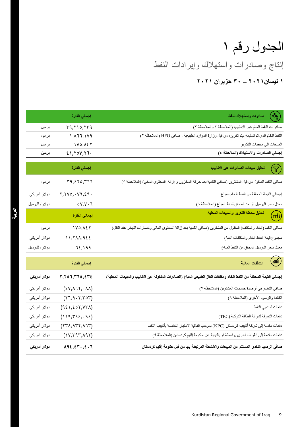## إنتاج وصادرات واستهالك وإیرادات النفط الجدول رقم ١

**١ نيسان٢0٢١ – ٣0 حزيران ٢0٢١**

|               | إجمالي الفترة                             | $\left( \frac{1}{2} \right)$<br>صادرات واستهلاك النفط                                                                |
|---------------|-------------------------------------------|----------------------------------------------------------------------------------------------------------------------|
| برميل         | 19,710,179                                | صادرات النفط الخام عبر الأنابيب (الملاحظة ٢ والملاحظة ٣)                                                             |
| برميل         | 1, 177, 179                               | النفط الخام الذي تم تسليمه ليتم تكريره من قبل وزارة الموارد الطبيعية ، صافي HFO (الملاحظة ٢)                         |
| برميل         | $1V0, \Delta \xi Y$                       | المبيعات إلى محطات التكرير                                                                                           |
| برميل         | 21,70V,77.                                | إجمالي الصادرات والاستهلاك (الملاحظة ٤)                                                                              |
|               | إجمالي الفترة                             | تحليل مبيعات الصادرات عبر الأنابيب<br>$\blacktriangledown$                                                           |
| برميل         | 19, 210, 777                              | صافي النفط المنقول من قبل المشترين (صافي الكمية بعد حركة المخزون و إزالة  المحتوى المائي) (الملاحظة ٥)               |
| دولار أمريكي  | Y, YV0, V9, 29.                           | إجمالي القيمة المحققة من النفط الخام المباع                                                                          |
| دولار/للبرميل | 0V.V.7                                    | معدل سعر البرميل الواحد المحقق للنفط المباع (الملاحظة ٦)                                                             |
|               | إجمالي الفترة                             | تحليل محطة التكرير والمبيعات المحلية<br>(WJ)                                                                         |
| برميل         | $1V0, \Delta \xi Y$                       | صافي النفط (الخام والمكثف) المنقول من المشترين (صافي الكمية بعد إزالة المحتوى المائي وخسارات التبخر عند النقل)       |
| دولار أمريكي  | 11,7AA,922                                | مجموع قيمة النفط الخام والمكثفات المباع                                                                              |
| دولار/للبرميل | 72.199                                    | معدل سعر البرميل المحقق من النفط المباع                                                                              |
|               | إجمالي الفترة                             | $\binom{m}{m}$<br>التدفقات المالية                                                                                   |
| دولار أمريكي  | ٢,٢٨٦,٣٦٨,٤٣٤                             | إجمالي القيمة المحققة من النفط الخام ومكثفات الغاز الطبيعي المباع (الصادرات المنقولة عبر الأنابيب والمبيعات المحلية) |
| دولار أمريكي  | $(2V, \lambda TY, \cdot \lambda \lambda)$ | صافي التغيير في أرصدة حسابات المشترين (الملاحظة ٧)                                                                   |
| دولار أمريكي  | (77, 9.7, 707)                            | الفائدة والرسوم الأخرى (الملاحظة ٨)                                                                                  |
| دولار أمريكي  | (921, 207, 07A)                           | دفعات لمنتجي النفط                                                                                                   |
| دولار أمريكي  | (119, 792, 92)                            | دفعات التعرفة لشركة الطاقة التركية (TEC)                                                                             |
| دولار أمريكي  | (17A, 977, A17)                           | دفعات مقدمة إلى شركة أنابيب كردستان (KPC) بموجب اتفاقية الامتياز الخاصة بأنابيب النفط                                |
| دولار أمريكي  | (1V, Y9Y, A9Y)                            | دفعات مقدمة إلى أطراف أخرى بواسطة أو بالنيابة عن حكومة إقليم كردستان (الملاحظة ٩)                                    |
| دولار أمريكي  | $\Lambda$ 92, ٤٣., ٤.٦                    | صافي الرصيد النقدي المستلم عن المبيعات والأنشطة المرتبطة بها من قبل حكومة إقليم كردستان                              |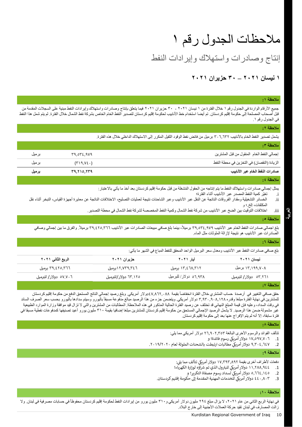## مالحظات الجدول رقم ١

إنتاج وصادرات واستهالك وإیرادات النفط

### **١ نيسان ٢0٢١ – ٣0 حزيران ٢0٢١**

#### **مالحظة :١**

جمیع الأرقام الواردة في الجدول رقم ١ خلال الفترة من ١ نیسان ٢٠٢١ - ٣٠ حزیران ٢٠٢١ فیما يتعلق بإنتاج وصادرات واستهلاك وإيرادات النفط مبنية على السجلات المقدمة من قبل أصحاب المصلحة إلى حكومة إقلیم كردستان. تم أیضا استخدام خط الأنابیب لحكوم إقلیم كردستان لتصال فلاس الفترة الشمال خلال الفترة. لم يتم شمل هذا النفط في الجدول رقم .١

#### **مالحظة :٢**

یشمل تصدیر النفط الخام باألنابیب 306.632 برمیل من فائض نفط الوقود الثقیل المكرر إلى االستهالك الداخلي خالل هذه الفترة.

| ملاحظة ٠٣                                  |                            |        |
|--------------------------------------------|----------------------------|--------|
| إجمالي النفط الخام المنقول من قبل المشترين | ۳۹,٥٣٤,٩٧٩                 | بر میں |
| الزيادة (النقصان) في التخزين في محطة النفط | $(Y \mid 9, V_{\epsilon})$ | برميل  |
| صادرات النفط الخام عبر الأنابيب            | ۳۹,۲۱٥,۲۳۹                 | برميل  |
|                                            |                            |        |

#### **مالحظة :4**

يمثل إجمالي صادرات واستهلاك النفط ما يتم إنتاجه من الحقول المُشغلة من قبل حكومة إقليم كردستان بعد أخذ ما يأتي بالاعتبار :

- i. تغیّر كمیة النفط المصدر عبر األنابیب أثناء الفترة؛ ii. الخسائر التشغيلية ومقدار الفروقات الناتجة عن النقل عبر الأنابيب وعبر الشاحنات نتيجة لعمليات النحنالات الناتجة عن معايرة أجهزة القياس، التبخر أثناء نقل
	- المكثفات، إلخ.؛ و iii. اختالفات التوقیت بین الضخ عبر األنابیب من شركة نفط الشمال وكمیة النفط المخصصة لشركة نفط الشمال في محطة التصدیر.

## **العربیة**

بلغ اجمالي صادرات النفط الخام عبر الأنابيب ٢٩,٥٣٤,٩٧٩ برميلاً، بينما بلغ صافي مبيعات الصادرات عبر الأنابيب ٢٩,٤٢٥,٣٦٦ برميلاً. والفرق ما بين إجمالي وصافي الصادرات عبر األنابیب هو نتیجة إلزالة الملوثات مثل الماء.

#### **مالحظة :6**

**مالحظة :٥**

بلغ صافي صادرات النفط عبر األنابیب ومعدل سعر البرمیل الواحد المحقق للنفط المباع في الشهر ما یأتي:

| الربع الثاني ٢٠٢١     | حزیران ۲۰۲۱          | أمار ٢٠٢١            | نیسان ۲۰۲۱           |
|-----------------------|----------------------|----------------------|----------------------|
| ۳۹,٤۲٥,۳٦٦ برميل      | ۱۲٫۷۳۹٫۳٤٦ برمیل     | ۱۳٫٤٦۸٫۳۱۲ برمیل     | ۱۳٬۱۹۹٬۷۰۸ برمیل     |
| ٥٧.٧٠٦ دولار/ للبرميل | ٦٣.١٢٥ دولار/للبرميل | ۳۸.۹۳۸ دولار/للبرميل | ۲٬۲۱۱ دولار/ للبرميل |
|                       |                      |                      | and the company      |

#### **مالحظة :7**

حقق صافي التغيير في أرصدة حساب المشتري خلال الفترة انخفاضاً بقيمة ٤٧,٨٦٢,٠٨٨ دولار أمريكي. وبلغ رصيد إجمالي الناتج المستحق الدفع من حكومة إقليم كردستان للمشترين في نهاية الفترة مبلغا وقدره ٢,٩٢٠,٩٠٨,١٢٨ دولار أمريكي. ويتضمن جزء من هذا الرصيد مبالغ مدفوعة مسبقاً باليورو وسيتم سدادها باليورو بحسب سعر الصرف السائد في وقت السداد، وعليه فإن قيمة المبلغ النهائي قد تختلف عن رصيد الفترة الحالوة في هذه الملاحظة. المطالبات من المشترين والتي لا تزال قيد موافقة وزارة الموارد الطبيعية غیر مشمولة ضمن هذا الرصید. لا يشمل الرصید الإجمالي المستحق من حكومة إقلیم تلفیف المشاهی الله علیه به ٣١٠ ملیون یورو أعید تصنیفها كمدفوعات نفطیة مسبقا في فترة سابقة، إال أنە لم یتم اإلفراج عنها بعد إلى حكومة إقلیم كردستان.

#### **مالحظة :8**

تتألف الفوائد والرسوم األخرى البالغة 26.902.353 دوالر أمریكي مما یلي:

- 1. د ١٧,٥٩٧,٧٠٦ دولارٍ أمرِيكي رسوم فائدة؛ و
- يك .2 9.304.647 مطالبات ارتبطت بالشحنات الملوثة لعام دوالر أمري .2019/2020

#### **مالحظة :٩**

دفعات لأطراف أخرى بقيمة ١٧,٣٩٣,٨٩٢ دولار أمريكي تتألف مما يلي:<br>.

- ول الذي تم رش .1 11.288.944 اؤه لوزارة الكهرباء؛ يك للبب <sup>ر</sup> دوالر أمري
	- 2. هـ 6,172,16 دولار أمريكي لسداد رسوم مصفاة التكرير؛ و
- 3. ٤٤٠,٨٠٣ دولار أمريكي للخدمات المهنية المقدمة إلى حكومة إقليم كردستان.

#### **مالحظة :١0**

في نهایة الربع الثاني من عام ٢٠٢١، لا یزال مبلغ ٢٩٤ ملیون دولر من ایرو من ایرادات النفط لحكومة إقلیم كردستان محفوظاً في حسابات مصرفیة في لبنان. ولا زالت المصارف في لبنان تقید حركة العمالت األجنبیة إلى خارج البالد.